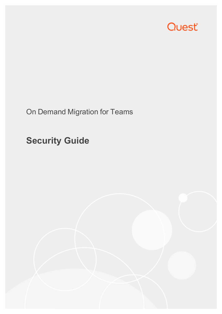

On Demand Migration for Teams

## **Security Guide**

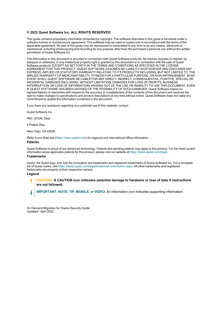#### **© 2022 Quest Software Inc. ALL RIGHTS RESERVED.**

This guide contains proprietary information protected by copyright. The software described in this guide is furnished under a software license or nondisclosure agreement. This software may be used or copied only in accordance with the terms of the applicable agreement. No part of this guide may be reproduced or transmitted in any form or by any means, electronic or mechanical, including photocopying and recording for any purpose other than the purchaser's personal use without the written permission of Quest Software Inc.

The information in this document is provided in connection with Quest Software products. No license, express or implied, by estoppel or otherwise, to any intellectual property right is granted by this document or in connection with the sale of Quest Software products. EXCEPT AS SET FORTH IN THE TERMS AND CONDITIONS AS SPECIFIED IN THE LICENSE AGREEMENT FOR THIS PRODUCT, QUEST SOFTWARE ASSUMES NO LIABILITY WHATSOEVER AND DISCLAIMS ANY EXPRESS, IMPLIED OR STATUTORY WARRANTY RELATING TO ITS PRODUCTS INCLUDING, BUT NOT LIMITED TO, THE IMPLIED WARRANTY OF MERCHANTABILITY, FITNESS FOR A PARTICULAR PURPOSE, OR NON-INFRINGEMENT. IN NO EVENT SHALL QUEST SOFTWARE BE LIABLE FOR ANY DIRECT, INDIRECT, CONSEQUENTIAL, PUNITIVE, SPECIAL OR INCIDENTAL DAMAGES (INCLUDING, WITHOUT LIMITATION, DAMAGES FOR LOSS OF PROFITS, BUSINESS INTERRUPTION OR LOSS OF INFORMATION) ARISING OUT OF THE USE OR INABILITY TO USE THIS DOCUMENT, EVEN IF QUEST SOFTWARE HAS BEEN ADVISED OF THE POSSIBILITY OF SUCH DAMAGES. Quest Software makes no representations or warranties with respect to the accuracy or completeness of the contents of this document and reserves the right to make changes to specifications and product descriptions at any time without notice. Quest Software does not make any commitment to update the information contained in this document.

If you have any questions regarding your potential use of this material, contact:

Quest Software Inc.

Attn: LEGAL Dept

4 Polaris Way

Aliso Viejo, CA 92656

Refer to our Web site [\(https://www.quest.com\)](https://www.quest.com/) for regional and international office information.

#### **Patents**

Quest Software is proud of our advanced technology. Patents and pending patents may apply to this product. For the most current information about applicable patents for this product, please visit our website at <https://www.quest.com/legal>.

#### **Trademarks**

Quest, the Quest logo, and Join the Innovation are trademarks and registered trademarks of Quest Software Inc. For a complete list of Quest marks, visit [https://www.quest.com/legal/trademark-information.aspx.](https://www.quest.com/legal/trademark-information.aspx) All other trademarks and registered trademarks are property of their respective owners.

#### **Legend**

П **CAUTION: A CAUTION icon indicates potential damage to hardware or loss of data if instructions are not followed.**

**IMPORTANT**, **NOTE**, **TIP**, **MOBILE**, or **VIDEO**: An information icon indicates supporting information. i

On Demand Migration for Teams Security Guide Updated - April 2022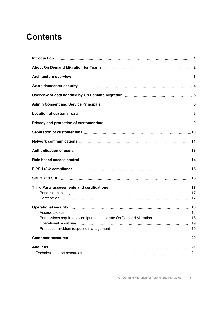#### **Contents**

| Azure datacenter security manufactured and all the datacenters are all the datacenter security manufactured and $4$<br>Location of customer data <b>[100]</b> and <b>120]</b> and <b>120</b> and <b>120</b> and <b>120</b> and <b>120</b> and <b>120</b> and <b>120</b> and <b>120</b> and <b>120</b> and <b>120</b> and <b>120</b> and <b>120</b> and <b>120</b> and <b>120</b> and <b>120</b> and <b>120</b> and <b>120</b> and <b>120</b> and <b>12</b><br>Network communications <i>manumentum communications</i> 11<br>Role based access control manufactured and relationship and 14<br>Penetration testing manufactured and the control of the control of the control of the control of the control of the control of the control of the control of the control of the control of the control of the control of the c<br>Production incident response management manuscription and continuum manuscription incident response management |  |
|------------------------------------------------------------------------------------------------------------------------------------------------------------------------------------------------------------------------------------------------------------------------------------------------------------------------------------------------------------------------------------------------------------------------------------------------------------------------------------------------------------------------------------------------------------------------------------------------------------------------------------------------------------------------------------------------------------------------------------------------------------------------------------------------------------------------------------------------------------------------------------------------------------------------------------------------|--|
|                                                                                                                                                                                                                                                                                                                                                                                                                                                                                                                                                                                                                                                                                                                                                                                                                                                                                                                                                |  |
|                                                                                                                                                                                                                                                                                                                                                                                                                                                                                                                                                                                                                                                                                                                                                                                                                                                                                                                                                |  |
|                                                                                                                                                                                                                                                                                                                                                                                                                                                                                                                                                                                                                                                                                                                                                                                                                                                                                                                                                |  |
|                                                                                                                                                                                                                                                                                                                                                                                                                                                                                                                                                                                                                                                                                                                                                                                                                                                                                                                                                |  |
|                                                                                                                                                                                                                                                                                                                                                                                                                                                                                                                                                                                                                                                                                                                                                                                                                                                                                                                                                |  |
|                                                                                                                                                                                                                                                                                                                                                                                                                                                                                                                                                                                                                                                                                                                                                                                                                                                                                                                                                |  |
|                                                                                                                                                                                                                                                                                                                                                                                                                                                                                                                                                                                                                                                                                                                                                                                                                                                                                                                                                |  |
|                                                                                                                                                                                                                                                                                                                                                                                                                                                                                                                                                                                                                                                                                                                                                                                                                                                                                                                                                |  |
|                                                                                                                                                                                                                                                                                                                                                                                                                                                                                                                                                                                                                                                                                                                                                                                                                                                                                                                                                |  |
|                                                                                                                                                                                                                                                                                                                                                                                                                                                                                                                                                                                                                                                                                                                                                                                                                                                                                                                                                |  |
|                                                                                                                                                                                                                                                                                                                                                                                                                                                                                                                                                                                                                                                                                                                                                                                                                                                                                                                                                |  |
|                                                                                                                                                                                                                                                                                                                                                                                                                                                                                                                                                                                                                                                                                                                                                                                                                                                                                                                                                |  |
|                                                                                                                                                                                                                                                                                                                                                                                                                                                                                                                                                                                                                                                                                                                                                                                                                                                                                                                                                |  |
|                                                                                                                                                                                                                                                                                                                                                                                                                                                                                                                                                                                                                                                                                                                                                                                                                                                                                                                                                |  |
|                                                                                                                                                                                                                                                                                                                                                                                                                                                                                                                                                                                                                                                                                                                                                                                                                                                                                                                                                |  |
|                                                                                                                                                                                                                                                                                                                                                                                                                                                                                                                                                                                                                                                                                                                                                                                                                                                                                                                                                |  |
|                                                                                                                                                                                                                                                                                                                                                                                                                                                                                                                                                                                                                                                                                                                                                                                                                                                                                                                                                |  |
|                                                                                                                                                                                                                                                                                                                                                                                                                                                                                                                                                                                                                                                                                                                                                                                                                                                                                                                                                |  |
|                                                                                                                                                                                                                                                                                                                                                                                                                                                                                                                                                                                                                                                                                                                                                                                                                                                                                                                                                |  |
|                                                                                                                                                                                                                                                                                                                                                                                                                                                                                                                                                                                                                                                                                                                                                                                                                                                                                                                                                |  |
|                                                                                                                                                                                                                                                                                                                                                                                                                                                                                                                                                                                                                                                                                                                                                                                                                                                                                                                                                |  |
|                                                                                                                                                                                                                                                                                                                                                                                                                                                                                                                                                                                                                                                                                                                                                                                                                                                                                                                                                |  |
|                                                                                                                                                                                                                                                                                                                                                                                                                                                                                                                                                                                                                                                                                                                                                                                                                                                                                                                                                |  |
|                                                                                                                                                                                                                                                                                                                                                                                                                                                                                                                                                                                                                                                                                                                                                                                                                                                                                                                                                |  |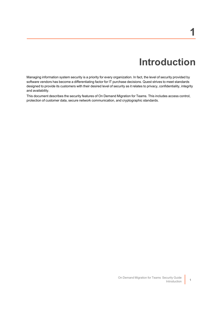## **Introduction**

<span id="page-3-0"></span>Managing information system security is a priority for every organization. In fact, the level of security provided by software vendors has become a differentiating factor for IT purchase decisions. Quest strives to meet standards designed to provide its customers with their desired level of security as it relates to privacy, confidentiality, integrity and availability.

This document describes the security features of On Demand Migration for Teams. This includes access control, protection of customer data, secure network communication, and cryptographic standards.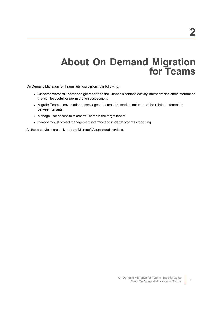### **About On Demand Migration for Teams**

<span id="page-4-0"></span>On Demand Migration for Teams lets you perform the following:

- Discover Microsoft Teams and get reports on the Channels content, activity, members and other information that can be useful for pre-migration assessment
- Migrate Teams conversations, messages, documents, media content and the related information between tenants
- Manage user access to Microsoft Teams in the target tenant
- Provide robust project management interface and in-depth progress reporting

All these services are delivered via Microsoft Azure cloud services.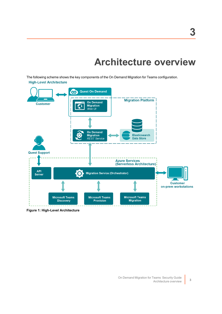## **Architecture overview**

<span id="page-5-0"></span>The following scheme shows the key components of the On Demand Migration for Teams configuration. **High-Level Architecture** 



**Figure 1: High-Level Architecture**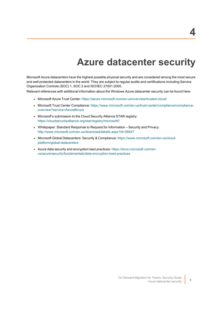### **Azure datacenter security**

<span id="page-6-0"></span>Microsoft Azure datacenters have the highest possible physical security and are considered among the most secure and well protected datacenters in the world. They are subject to regular audits and certifications including Service Organization Controls (SOC) 1, SOC 2 and ISO/IEC 27001:2005.

Relevant references with additional information about the Windows Azure datacenter security can be found here:

- Microsoft Azure Trust Center: <https://azure.microsoft.com/en-us/overview/trusted-cloud/>
- Microsoft Trust Center Compliance: [https://www.microsoft.com/en-us/trust-center/compliance/compliance](https://www.microsoft.com/en-us/trust-center/compliance/compliance-overview?service=Azure#Icons)[overview?service=Azure#Icons](https://www.microsoft.com/en-us/trust-center/compliance/compliance-overview?service=Azure#Icons)
- Microsoft's submission to the Cloud Security Alliance STAR registry: [https://cloudsecurityalliance.org/star/registry/microsoft//](https://cloudsecurityalliance.org/star/registry/microsoft/)
- Whitepaper: Standard Response to Request for Information Security and Privacy: <http://www.microsoft.com/en-us/download/details.aspx?id=26647>
- Microsoft Global Datacenters: Security & Compliance: [https://www.microsoft.com/en-us/cloud](https://www.microsoft.com/en-us/cloud-platform/global-datacenters)[platform/global-datacenters](https://www.microsoft.com/en-us/cloud-platform/global-datacenters)
- Azure data security and encryption best practices: [https://docs.microsoft.com/en](https://docs.microsoft.com/en-us/azure/security/fundamentals/data-encryption-best-practices)[us/azure/security/fundamentals/data-encryption-best-practices](https://docs.microsoft.com/en-us/azure/security/fundamentals/data-encryption-best-practices)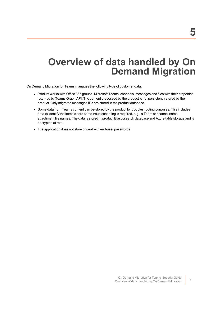### <span id="page-7-0"></span>**Overview of data handled by On Demand Migration**

On Demand Migration for Teams manages the following type of customer data:

- Product works with Office 365 groups, Microsoft Teams, channels, messages and files with their properties returned by Teams Graph API. The content processed by the product is not persistently stored by the product. Only migrated messages IDs are stored in the product database.
- Some data from Teams content can be stored by the product for troubleshooting purposes. This includes data to identify the items where some troubleshooting is required, e.g., a Team or channel name, attachment file names. The data is stored in product Elasticsearch database and Azure table storage and is encrypted at rest.
- The application does not store or deal with end-user passwords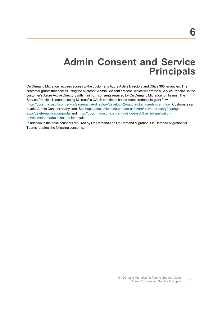#### **Admin Consent and Service Principals**

<span id="page-8-0"></span>On Demand Migration requires access to the customer's Azure Active Directory and Office 365 tenancies. The customer grants that access using the Microsoft Admin Consent process, which will create a Service Principal in the customer's Azure Active Directory with minimum consents required by On Demand Migration for Teams. The Service Principal is created using Microsoft's OAuth certificate based client credentials grant flow <https://docs.microsoft.com/en-us/azure/active-directory/develop/v2-oauth2-client-creds-grant-flow>. Customers can revoke Admin Consent at any time. See [https://docs.microsoft.com/en-us/azure/active-directory/manage](https://docs.microsoft.com/en-us/azure/active-directory/manage-apps/delete-application-portal)[apps/delete-application-portal](https://docs.microsoft.com/en-us/azure/active-directory/manage-apps/delete-application-portal) and [https://docs.microsoft.com/en-us/skype-sdk/trusted-application](https://docs.microsoft.com/en-us/skype-sdk/trusted-application-api/docs/tenantadminconsent)[api/docs/tenantadminconsent](https://docs.microsoft.com/en-us/skype-sdk/trusted-application-api/docs/tenantadminconsent) for details.

In addition to the base consents required by On Demand and On Demand Migration, On Demand Migration for Teams requires the following consents: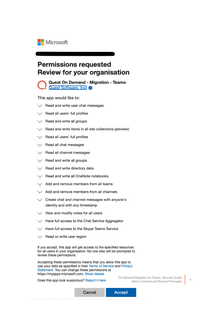

#### **Permissions requested Review for your organisation**



Quest On Demand - Migration - Teams Quest Software, Inc.

This app would like to:

- $\vee$  Read and write user chat messages
- $\angle$  Read all users' full profiles
- $\angle$  Read and write all groups
- $\angle$  Read and write items in all site collections (preview)
- $\angle$  Read all users' full profiles
- $\vee$  Read all chat messages
- $\vee$  Read all channel messages
- $\vee$  Read and write all groups
- $\vee$  Read and write directory data
- Bead and write all OneNote notebooks
- Add and remove members from all teams
- $\angle$  Add and remove members from all channels
- $\angle$  Create chat and channel messages with anyone's identity and with any timestamp
- $\angle$  View and modify notes for all users
- $\angle$  Have full access to the Chat Service Aggregator
- / Have full access to the Skype Teams Service
- Read or write user region

If you accept, this app will get access to the specified resources for all users in your organisation. No one else will be prompted to review these permissions.

Accepting these permissions means that you allow this app to use your data as specified in their Terms of Service and Privacy Statement. You can change these permissions at https://myapps.microsoft.com. Show details

Does this app look suspicious? Report it here

On Demand Migration for Teams Security Guide Admin Consent and Service Principals **<sup>7</sup>**

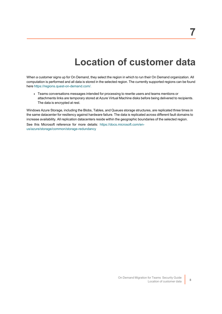### **Location of customer data**

<span id="page-10-0"></span>When a customer signs up for On Demand, they select the region in which to run their On Demand organization. All computation is performed and all data is stored in the selected region. The currently supported regions can be found here [https://regions.quest-on-demand.com/.](https://regions.quest-on-demand.com/)

- Teams conversations messages intended for processing to rewrite users and teams mentions or attachments links are temporary stored at Azure Virtual Machine disks before being delivered to recipients. The data is encrypted at rest.

Windows Azure Storage, including the Blobs, Tables, and Queues storage structures, are replicated three times in the same datacenter for resiliency against hardware failure. The data is replicated across different fault domains to increase availability. All replication datacenters reside within the geographic boundaries of the selected region. See this Microsoft reference for more details: [https://docs.microsoft.com/en-](https://docs.microsoft.com/en-us/azure/storage/common/storage-redundancy)

[us/azure/storage/common/storage-redundancy](https://docs.microsoft.com/en-us/azure/storage/common/storage-redundancy)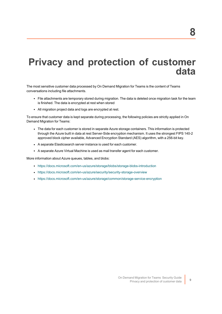### <span id="page-11-0"></span>**Privacy and protection of customer data**

The most sensitive customer data processed by On Demand Migration for Teams is the content of Teams conversations including file attachments.

- File attachments are temporary stored during migration. The data is deleted once migration task for the team is finished. The data is encrypted at rest when stored
- All migration project data and logs are encrypted at rest.

To ensure that customer data is kept separate during processing, the following policies are strictly applied in On Demand Migration for Teams:

- The data for each customer is stored in separate Azure storage containers. This information is protected through the Azure built in data at rest Server-Side encryption mechanism. It uses the strongest FIPS 140-2 approved block cipher available, Advanced Encryption Standard (AES) algorithm, with a 256-bit key.
- A separate Elasticsearch server instance is used for each customer.
- A separate Azure Virtual Machine is used as mail transfer agent for each customer.

More information about Azure queues, tables, and blobs:

- <https://docs.microsoft.com/en-us/azure/storage/blobs/storage-blobs-introduction>
- <https://docs.microsoft.com/en-us/azure/security/security-storage-overview>
- <sup>l</sup> <https://docs.microsoft.com/en-us/azure/storage/common/storage-service-encryption>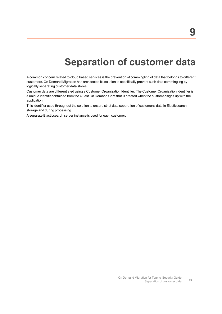### **Separation of customer data**

<span id="page-12-0"></span>A common concern related to cloud based services is the prevention of commingling of data that belongs to different customers. On Demand Migration has architected its solution to specifically prevent such data commingling by logically separating customer data stores.

Customer data are differentiated using a Customer Organization Identifier. The Customer Organization Identifier is a unique identifier obtained from the Quest On Demand Core that is created when the customer signs up with the application.

This identifier used throughout the solution to ensure strict data separation of customers' data in Elasticsearch storage and during processing.

A separate Elasticsearch server instance is used for each customer.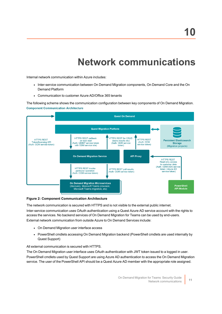## **Network communications**

<span id="page-13-0"></span>Internal network communication within Azure includes:

- Inter-service communication between On Demand Migration components, On Demand Core and the On Demand Platform
- Communication to customer Azure AD/Office 365 tenants

The following scheme shows the communication configuration between key components of On Demand Migration. **Component Communication Architecture** 



#### **Figure 2: Component Communication Architecture**

The network communication is secured with HTTPS and is not visible to the external public internet. Inter-service communication uses OAuth authentication using a Quest Azure AD service account with the rights to access the services. No backend services of On Demand Migration for Teams can be used by end-users. External network communication from outside Azure to On Demand Services include:

- On Demand Migration user interface access
- PowerShell cmdlets accessing On Demand Migration backend (PowerShell cmdlets are used internally by Quest Support)

All external communication is secured with HTTPS.

The On Demand Migration user interface uses OAuth authentication with JWT token issued to a logged in user. PowerShell cmdlets used by Quest Support are using Azure AD authentication to access the On Demand Migration service. The user of the PowerShell API should be a Quest Azure AD member with the appropriate role assigned.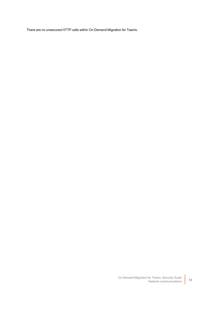There are no unsecured HTTP calls within On Demand Migration for Teams.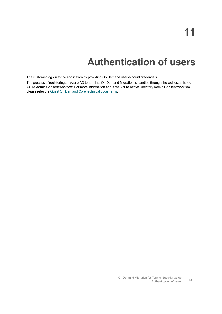## **Authentication of users**

<span id="page-15-0"></span>The customer logs in to the application by providing On Demand user account credentials.

The process of registering an Azure AD tenant into On Demand Migration is handled through the well established Azure Admin Consent workflow. For more information about the Azure Active Directory Admin Consent workflow, please refer the Quest On Demand Core technical [documents.](https://support.quest.com/technical-documents/on-demand-global-settings/current/user-guide/13#TOPIC-1567780)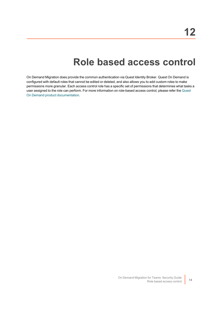### **Role based access control**

<span id="page-16-0"></span>On Demand Migration does provide the common authentication via Quest Identity Broker. Quest On Demand is configured with default roles that cannot be edited or deleted, and also allows you to add custom roles to make permissions more granular. Each access control role has a specific set of permissions that determines what tasks a user assigned to the role can perform. For more information on role-based access control, please refer the [Quest](https://support.quest.com/technical-documents/on-demand-global-settings/user-guide/adding-users-to-an-organization/adding-users-and-assigning-a-role) On Demand product [documentation](https://support.quest.com/technical-documents/on-demand-global-settings/user-guide/adding-users-to-an-organization/adding-users-and-assigning-a-role).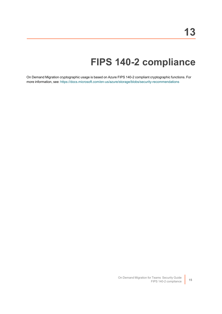## **FIPS 140-2 compliance**

<span id="page-17-0"></span>On Demand Migration cryptographic usage is based on Azure FIPS 140-2 compliant cryptographic functions. For more information, see: <https://docs.microsoft.com/en-us/azure/storage/blobs/security-recommendations>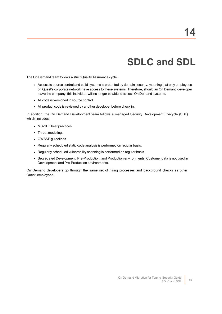## **SDLC and SDL**

<span id="page-18-0"></span>The On Demand team follows a strict Quality Assurance cycle.

- Access to source control and build systems is protected by domain security, meaning that only employees on Quest's corporate network have access to these systems. Therefore, should an On Demand developer leave the company, this individual will no longer be able to access On Demand systems.
- All code is versioned in source control.
- All product code is reviewed by another developer before check in.

In addition, the On Demand Development team follows a managed Security Development Lifecycle (SDL) which includes:

- MS-SDL best practices
- Threat modeling.
- OWASP guidelines.
- Regularly scheduled static code analysis is performed on regular basis.
- Regularly scheduled vulnerability scanning is performed on regular basis.
- Segregated Development, Pre-Production, and Production environments. Customer data is not used in Development and Pre-Production environments.

On Demand developers go through the same set of hiring processes and background checks as other Quest employees.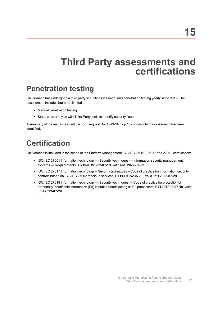### <span id="page-19-0"></span>**Third Party assessments and certifications**

#### <span id="page-19-1"></span>**Penetration testing**

On Demand has undergone a third party security assessment and penetration testing yearly since 2017. The assessment includes but is not limited to:

- Manual penetration testing
- Static code analysis with Third Party tools to identify security flaws

A summary of the results is available upon request. No OWASP Top 10 critical or high risk issues have been identified.

#### <span id="page-19-2"></span>**Certification**

On Demand is included in the scope of the Platform Management ISO/IEC 27001, 27017 and 27018 certification:

- ISO/IEC 27001 Information technology Security techniques Information security management systems — Requirements : **C710-ISMS222-07-19**, valid until **2022-07-29**.
- ISO/IEC 27017 Information technology Security techniques Code of practice for information security controls based on ISO/IEC 27002 for cloud services: **C711-ITCS2-07-19**, valid until **2022-07-29**.
- ISO/IEC 27018 Information technology Security techniques Code of practice for protection of personally identifiable information (PII) in public clouds acting as PII processors: **C712-ITPII2-07-19**, valid until **2022-07-29**.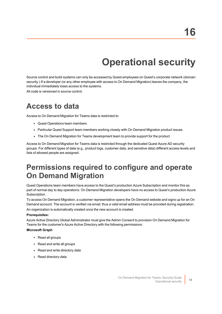## **Operational security**

<span id="page-20-0"></span>Source control and build systems can only be accessed by Quest employees on Quest's corporate network (domain security.) If a developer (or any other employee with access to On Demand Migration) leaves the company, the individual immediately loses access to the systems.

<span id="page-20-1"></span>All code is versioned in source control.

#### **Access to data**

Access to On Demand Migration for Teams data is restricted to:

- Quest Operations team members
- Particular Quest Support team members working closely with On Demand Migration product issues.
- The On Demand Migration for Teams development team to provide support for the product

Access to On Demand Migration for Teams data is restricted through the dedicated Quest Azure AD security groups. For different types of data (e.g., product logs, customer data, and sensitive data) different access levels and lists of allowed people are assigned.

#### <span id="page-20-2"></span>**Permissions required to configure and operate On Demand Migration**

Quest Operations team members have access to the Quest's production Azure Subscription and monitor this as part of normal day to day operations. On Demand Migration developers have no access to Quest's production Azure Subscription.

To access On Demand Migration, a customer representative opens the On Demand website and signs up for an On Demand account. The account is verified via email; thus a valid email address must be provided during registration.

An organization is automatically created once the new account is created.

#### **Prerequisites:**

Azure Active Directory Global Administrator must give the Admin Consent to provision On Demand Migration for Teams for the customer's Azure Active Directory with the following permissions:

#### **Microsoft Graph**

- Read all groups
- Read and write all groups
- Read and write directory data
- Read directory data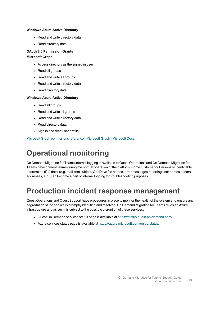#### **Windows Azure Active Directory**

- Read and write directory data
- Read directory data

#### **OAuth 2.0 Permission Grants Microsoft Graph**

- Access directory as the signed in user
- Read all groups
- $\cdot$  Read and write all groups
- Read and write directory data
- Read directory data

#### **Windows Azure Active Directory**

- Read all groups
- Read and write all groups
- Read and write directory data
- Read directory data
- Sign in and read user profile

<span id="page-21-0"></span>Microsoft Graph [permissions](https://docs.microsoft.com/en-us/graph/permissions-reference) reference - Microsoft Graph | Microsoft Docs

#### **Operational monitoring**

On Demand Migration for Teams internal logging is available to Quest Operations and On Demand Migration for Teams development teams during the normal operation of the platform. Some customer or Personally Identifiable Information (PII) data (e.g. mail item subject, OneDrive file names, error messages reporting user names or email addresses, etc.) can become a part of internal logging for troubleshooting purposes.

#### <span id="page-21-1"></span>**Production incident response management**

Quest Operations and Quest Support have procedures in place to monitor the health of the system and ensure any degradation of the service is promptly identified and resolved. On Demand Migration for Teams relies an Azure infrastructure and as such, is subject to the possible disruption of these services.

- Quest On Demand services status page is available at <https://status.quest-on-demand.com/>
- Azure services status page is available at <https://azure.microsoft.com/en-ca/status/>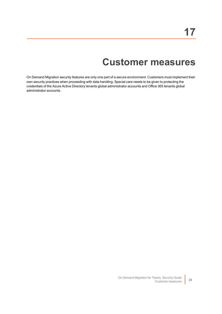### **Customer measures**

<span id="page-22-0"></span>On Demand Migration security features are only one part of a secure environment. Customers must implement their own security practices when proceeding with data handling. Special care needs to be given to protecting the credentials of the Azure Active Directory tenants global administrator accounts and Office 365 tenants global administrator accounts.